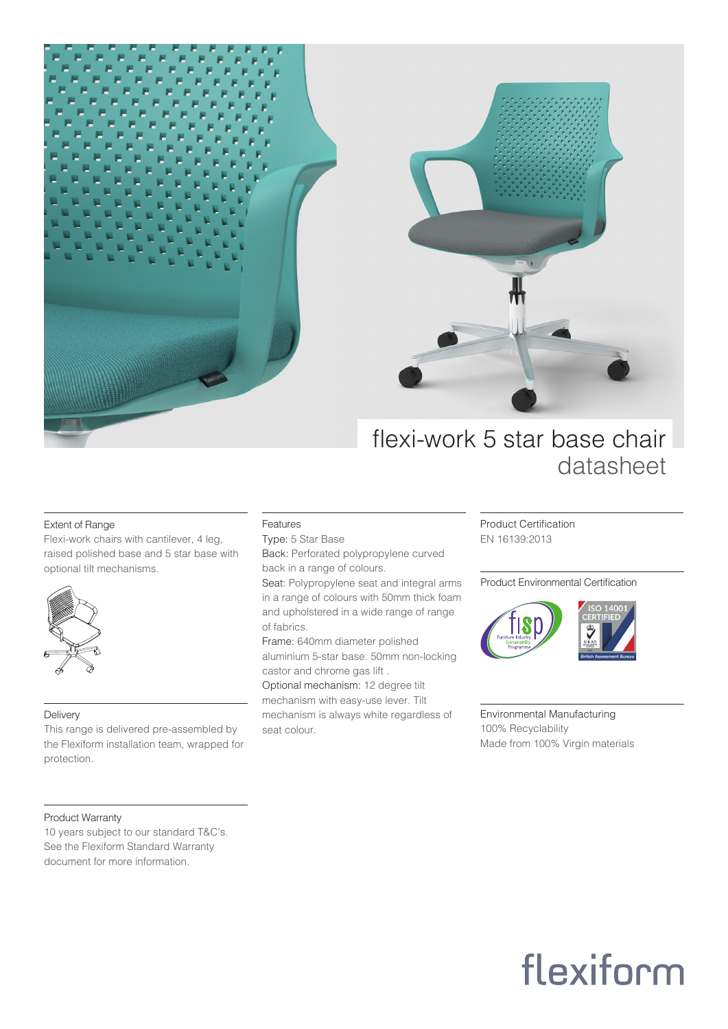



### flexi-work 5 star base chair datasheet

#### Extent of Range

Flexi-work chairs with cantilever, 4 leg, raised polished base and 5 star base with optional tilt mechanisms.



#### Delivery

This range is delivered pre-assembled by the Flexiform installation team, wrapped for protection.

#### Features

Type: 5 Star Base Back: Perforated polypropylene curved back in a range of colours.

Seat: Polypropylene seat and integral arms in a range of colours with 50mm thick foam and upholstered in a wide range of range of fabrics.

Frame: 640mm diameter polished aluminium 5-star base. 50mm non-locking castor and chrome gas lift .

Optional mechanism: 12 degree tilt mechanism with easy-use lever. Tilt mechanism is always white regardless of seat colour.

Product Certification EN 16139:2013

#### Product Environmental Certification



Environmental Manufacturing 100% Recyclability Made from 100% Virgin materials

#### Product Warranty

10 years subject to our standard T&C's. See the Flexiform Standard Warranty document for more information.

# flexiform